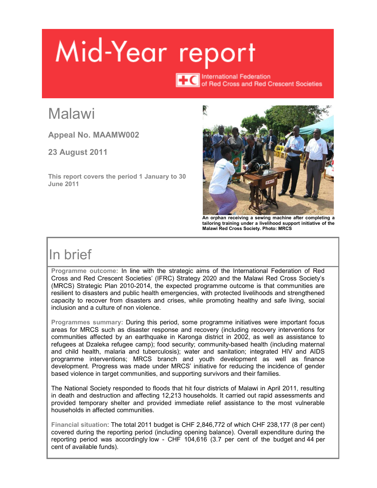# Mid-Year report

**TTC** International Federation<br>
of Red Cross and Red Crescent Societies

# **Malawi**

**Appeal No. MAAMW002** 

**23 August 2011** 

**This report covers the period 1 January to 30 June 2011** 



**An orphan receiving a sewing machine after completing a tailoring training under a livelihood support initiative of the Malawi Red Cross Society. Photo: MRCS** 

# In brief

**Programme outcome:** In line with the strategic aims of the International Federation of Red Cross and Red Crescent Societies' (IFRC) Strategy 2020 and the Malawi Red Cross Society's (MRCS) Strategic Plan 2010-2014, the expected programme outcome is that communities are resilient to disasters and public health emergencies, with protected livelihoods and strengthened capacity to recover from disasters and crises, while promoting healthy and safe living, social inclusion and a culture of non violence.

**Programmes summary:** During this period, some programme initiatives were important focus areas for MRCS such as disaster response and recovery (including recovery interventions for communities affected by an earthquake in Karonga district in 2002, as well as assistance to refugees at Dzaleka refugee camp); food security; community-based health (including maternal and child health, malaria and tuberculosis); water and sanitation; integrated HIV and AIDS programme interventions; MRCS branch and youth development as well as finance development. Progress was made under MRCS' initiative for reducing the incidence of gender based violence in target communities, and supporting survivors and their families.

The National Society responded to floods that hit four districts of Malawi in April 2011, resulting in death and destruction and affecting 12,213 households. It carried out rapid assessments and provided temporary shelter and provided immediate relief assistance to the most vulnerable households in affected communities.

**Financial situation**: The total 2011 budget is CHF 2,846,772 of which CHF 238,177 (8 per cent) covered during the reporting period (including opening balance). Overall expenditure during the reporting period was accordingly low - CHF 104,616 (3.7 per cent of the budget and 44 per cent of available funds).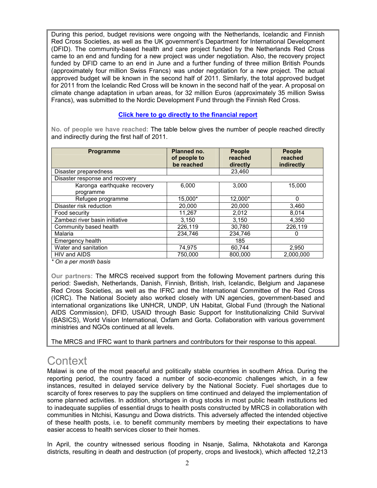During this period, budget revisions were ongoing with the Netherlands, Icelandic and Finnish Red Cross Societies, as well as the UK government's Department for International Development (DFID). The community-based health and care project funded by the Netherlands Red Cross came to an end and funding for a new project was under negotiation. Also, the recovery project funded by DFID came to an end in June and a further funding of three million British Pounds (approximately four million Swiss Francs) was under negotiation for a new project. The actual approved budget will be known in the second half of 2011. Similarly, the total approved budget for 2011 from the Icelandic Red Cross will be known in the second half of the year. A proposal on climate change adaptation in urban areas, for 32 million Euros (approximately 35 million Swiss Francs), was submitted to the Nordic Development Fund through the Finnish Red Cross.

## **[Click here to go directly to the financial report](#page-12-0)**

**No. of people we have reached:** The table below gives the number of people reached directly and indirectly during the first half of 2011.

| <b>Programme</b>                         | Planned no.<br>of people to<br>be reached | <b>People</b><br>reached<br>directly | <b>People</b><br>reached<br>indirectly |
|------------------------------------------|-------------------------------------------|--------------------------------------|----------------------------------------|
| Disaster preparedness                    |                                           | 23.460                               |                                        |
| Disaster response and recovery           |                                           |                                      |                                        |
| Karonga earthquake recovery<br>programme | 6,000                                     | 3.000                                | 15,000                                 |
| Refugee programme                        | 15,000*                                   | 12,000*                              | 0                                      |
| Disaster risk reduction                  | 20,000                                    | 20,000                               | 3.460                                  |
| Food security                            | 11,267                                    | 2,012                                | 8,014                                  |
| Zambezi river basin initiative           | 3,150                                     | 3,150                                | 4.350                                  |
| Community based health                   | 226,119                                   | 30,780                               | 226,119                                |
| Malaria                                  | 234.746                                   | 234,746                              | $\Omega$                               |
| Emergency health                         |                                           | 185                                  |                                        |
| Water and sanitation                     | 74,975                                    | 60,744                               | 2,950                                  |
| HIV and AIDS                             | 750.000                                   | 800.000                              | 2.000.000                              |

*\* On a per month basis* 

**Our partners:** The MRCS received support from the following Movement partners during this period: Swedish, Netherlands, Danish, Finnish, British, Irish, Icelandic, Belgium and Japanese Red Cross Societies, as well as the IFRC and the International Committee of the Red Cross (ICRC). The National Society also worked closely with UN agencies, government-based and international organizations like UNHCR, UNDP, UN Habitat, Global Fund (through the National AIDS Commission), DFID, USAID through Basic Support for Institutionalizing Child Survival (BASICS), World Vision International, Oxfam and Gorta. Collaboration with various government ministries and NGOs continued at all levels.

The MRCS and IFRC want to thank partners and contributors for their response to this appeal.

# **Context**

Malawi is one of the most peaceful and politically stable countries in southern Africa. During the reporting period, the country faced a number of socio-economic challenges which, in a few instances, resulted in delayed service delivery by the National Society. Fuel shortages due to scarcity of forex reserves to pay the suppliers on time continued and delayed the implementation of some planned activities. In addition, shortages in drug stocks in most public health institutions led to inadequate supplies of essential drugs to health posts constructed by MRCS in collaboration with communities in Ntchisi, Kasungu and Dowa districts. This adversely affected the intended objective of these health posts, i.e. to benefit community members by meeting their expectations to have easier access to health services closer to their homes.

In April, the country witnessed serious flooding in Nsanje, Salima, Nkhotakota and Karonga districts, resulting in death and destruction (of property, crops and livestock), which affected 12,213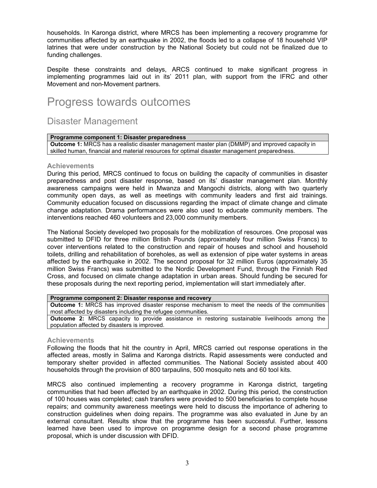households. In Karonga district, where MRCS has been implementing a recovery programme for communities affected by an earthquake in 2002, the floods led to a collapse of 18 household VIP latrines that were under construction by the National Society but could not be finalized due to funding challenges.

Despite these constraints and delays, ARCS continued to make significant progress in implementing programmes laid out in its' 2011 plan, with support from the IFRC and other Movement and non-Movement partners.

# Progress towards outcomes

## Disaster Management

## **Programme component 1: Disaster preparedness**

**Outcome 1:** MRCS has a realistic disaster management master plan (DMMP) and improved capacity in skilled human, financial and material resources for optimal disaster management preparedness.

## **Achievements**

During this period, MRCS continued to focus on building the capacity of communities in disaster preparedness and post disaster response, based on its' disaster management plan. Monthly awareness campaigns were held in Mwanza and Mangochi districts, along with two quarterly community open days, as well as meetings with community leaders and first aid trainings. Community education focused on discussions regarding the impact of climate change and climate change adaptation. Drama performances were also used to educate community members. The interventions reached 460 volunteers and 23,000 community members.

The National Society developed two proposals for the mobilization of resources. One proposal was submitted to DFID for three million British Pounds (approximately four million Swiss Francs) to cover interventions related to the construction and repair of houses and school and household toilets, drilling and rehabilitation of boreholes, as well as extension of pipe water systems in areas affected by the earthquake in 2002. The second proposal for 32 million Euros (approximately 35 million Swiss Francs) was submitted to the Nordic Development Fund, through the Finnish Red Cross, and focused on climate change adaptation in urban areas. Should funding be secured for these proposals during the next reporting period, implementation will start immediately after.

## **Programme component 2: Disaster response and recovery**

**Outcome 1:** MRCS has improved disaster response mechanism to meet the needs of the communities most affected by disasters including the refugee communities.

**Outcome 2:** MRCS capacity to provide assistance in restoring sustainable livelihoods among the population affected by disasters is improved.

## **Achievements**

Following the floods that hit the country in April, MRCS carried out response operations in the affected areas, mostly in Salima and Karonga districts. Rapid assessments were conducted and temporary shelter provided in affected communities. The National Society assisted about 400 households through the provision of 800 tarpaulins, 500 mosquito nets and 60 tool kits.

MRCS also continued implementing a recovery programme in Karonga district, targeting communities that had been affected by an earthquake in 2002. During this period, the construction of 100 houses was completed; cash transfers were provided to 500 beneficiaries to complete house repairs; and community awareness meetings were held to discuss the importance of adhering to construction guidelines when doing repairs. The programme was also evaluated in June by an external consultant. Results show that the programme has been successful. Further, lessons learned have been used to improve on programme design for a second phase programme proposal, which is under discussion with DFID.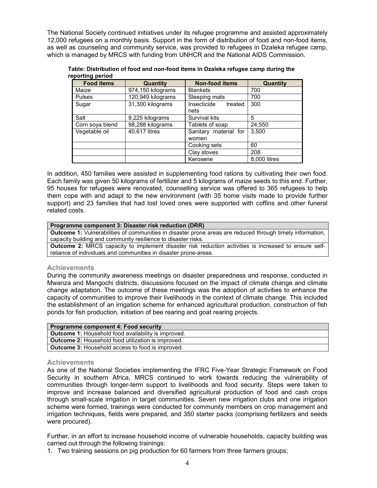The National Society continued initiatives under its refugee programme and assisted approximately 12,000 refugees on a monthly basis. Support in the form of distribution of food and non-food items, as well as counseling and community service, was provided to refugees in Dzaleka refugee camp, which is managed by MRCS with funding from UNHCR and the National AIDS Commission.

| PPVI WIN PVIIVW<br><b>Food items</b> | Quantity          | <b>Non-food items</b>          | Quantity     |
|--------------------------------------|-------------------|--------------------------------|--------------|
| Maize                                | 974,150 kilograms | <b>Blankets</b>                | 700          |
| <b>Pulses</b>                        | 120,949 kilograms | Sleeping mats                  | 700          |
| Sugar                                | 31,300 kilograms  | Insecticide<br>treated<br>nets | 300          |
| Salt                                 | 9,225 kilograms   | Survival kits                  | 5            |
| Corn soya blend                      | 98,288 kilograms  | Tablets of soap                | 24,550       |
| Vegetable oil                        | 40,617 litres     | Sanitary material for<br>women | 3,500        |
|                                      |                   | Cooking sets                   | 60           |
|                                      |                   | Clay stoves                    | 208          |
|                                      |                   | Kerosene                       | 8.000 litres |

**Table: Distribution of food and non-food items in Dzaleka refugee camp during the reporting period** 

In addition, 450 families were assisted in supplementing food rations by cultivating their own food. Each family was given 50 kilograms of fertilizer and 5 kilograms of maize seeds to this end. Further, 95 houses for refugees were renovated, counselling service was offered to 365 refugees to help them cope with and adapt to the new environment (with 35 home visits made to provide further support) and 23 families that had lost loved ones were supported with coffins and other funeral related costs.

## **Programme component 3: Disaster risk reduction (DRR)**

**Outcome 1:** Vulnerabilities of communities in disaster prone areas are reduced through timely information, capacity building and community resilience to disaster risks.

**Outcome 2:** MRCS capacity to implement disaster risk reduction activities is increased to ensure selfreliance of individuals and communities in disaster prone-areas.

## **Achievements**

During the community awareness meetings on disaster preparedness and response, conducted in Mwanza and Mangochi districts, discussions focused on the impact of climate change and climate change adaptation. The outcome of these meetings was the adoption of activities to enhance the capacity of communities to improve their livelihoods in the context of climate change. This included the establishment of an irrigation scheme for enhanced agricultural production, construction of fish ponds for fish production, initiation of bee rearing and goat rearing projects.

| <b>Programme component 4: Food security</b>                |
|------------------------------------------------------------|
| <b>Outcome 1:</b> Household food availability is improved. |
| <b>Outcome 2:</b> Household food utilization is improved.  |
| <b>Outcome 3:</b> Household access to food is improved.    |

## **Achievements**

As one of the National Societies implementing the IFRC Five-Year Strategic Framework on Food Security in southern Africa, MRCS continued to work towards reducing the vulnerability of communities through longer-term support to livelihoods and food security. Steps were taken to improve and increase balanced and diversified agricultural production of food and cash crops through small-scale irrigation in target communities. Seven new irrigation clubs and one irrigation scheme were formed, trainings were conducted for community members on crop management and irrigation techniques, fields were prepared, and 350 starter packs (comprising fertilizers and seeds were procured).

Further, in an effort to increase household income of vulnerable households, capacity building was carried out through the following trainings:

1. Two training sessions on pig production for 60 farmers from three farmers groups;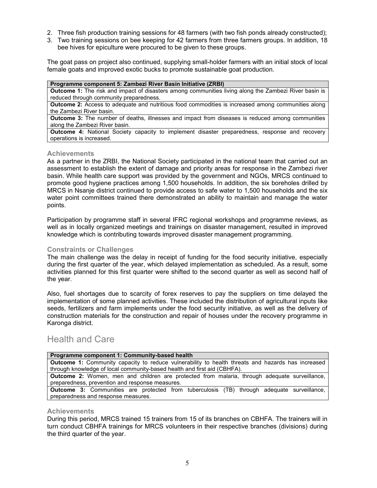- 2. Three fish production training sessions for 48 farmers (with two fish ponds already constructed);
- 3. Two training sessions on bee keeping for 42 farmers from three farmers groups. In addition, 18 bee hives for epiculture were procured to be given to these groups.

The goat pass on project also continued, supplying small-holder farmers with an initial stock of local female goats and improved exotic bucks to promote sustainable goat production.

#### **Programme component 5: Zambezi River Basin Initiative (ZRBI)**

**Outcome 1:** The risk and impact of disasters among communities living along the Zambezi River basin is reduced through community preparedness.

**Outcome 2:** Access to adequate and nutritious food commodities is increased among communities along the Zambezi River basin.

**Outcome 3:** The number of deaths, illnesses and impact from diseases is reduced among communities along the Zambezi River basin.

**Outcome 4:** National Society capacity to implement disaster preparedness, response and recovery operations is increased.

### **Achievements**

As a partner in the ZRBI, the National Society participated in the national team that carried out an assessment to establish the extent of damage and priority areas for response in the Zambezi river basin. While health care support was provided by the government and NGOs, MRCS continued to promote good hygiene practices among 1,500 households. In addition, the six boreholes drilled by MRCS in Nsanje district continued to provide access to safe water to 1,500 households and the six water point committees trained there demonstrated an ability to maintain and manage the water points.

Participation by programme staff in several IFRC regional workshops and programme reviews, as well as in locally organized meetings and trainings on disaster management, resulted in improved knowledge which is contributing towards improved disaster management programming.

## **Constraints or Challenges**

The main challenge was the delay in receipt of funding for the food security initiative, especially during the first quarter of the year, which delayed implementation as scheduled. As a result, some activities planned for this first quarter were shifted to the second quarter as well as second half of the year.

Also, fuel shortages due to scarcity of forex reserves to pay the suppliers on time delayed the implementation of some planned activities. These included the distribution of agricultural inputs like seeds, fertilizers and farm implements under the food security initiative, as well as the delivery of construction materials for the construction and repair of houses under the recovery programme in Karonga district.

## Health and Care

| Programme component 1: Community-based health                                                            |
|----------------------------------------------------------------------------------------------------------|
| <b>Outcome 1:</b> Community capacity to reduce vulnerability to health threats and hazards has increased |
| through knowledge of local community-based health and first aid (CBHFA).                                 |
| Outcome 2: Women, men and children are protected from malaria, through adequate surveillance,            |
| preparedness, prevention and response measures.                                                          |
| <b>Outcome 3:</b> Communities are protected from tuberculosis (TB) through adequate surveillance,        |
| preparedness and response measures.                                                                      |

## **Achievements**

During this period, MRCS trained 15 trainers from 15 of its branches on CBHFA. The trainers will in turn conduct CBHFA trainings for MRCS volunteers in their respective branches (divisions) during the third quarter of the year.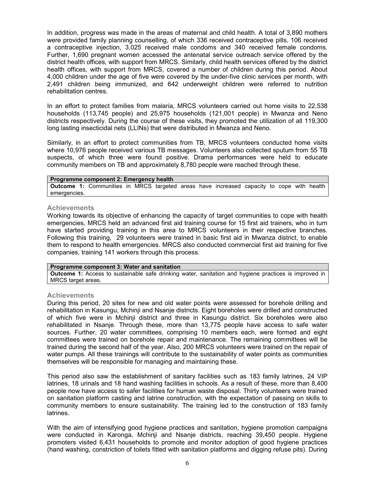In addition, progress was made in the areas of maternal and child health. A total of 3,890 mothers were provided family planning counselling, of which 336 received contraceptive pills, 106 received a contraceptive injection, 3,025 received male condoms and 340 received female condoms. Further, 1,690 pregnant women accessed the antenatal service outreach service offered by the district health offices, with support from MRCS. Similarly, child health services offered by the district health offices, with support from MRCS, covered a number of children during this period. About 4,000 children under the age of five were covered by the under-five clinic services per month, with 2,491 children being immunized, and 642 underweight children were referred to nutrition rehabilitation centres.

In an effort to protect families from malaria, MRCS volunteers carried out home visits to 22,538 households (113,745 people) and 25,975 households (121,001 people) in Mwanza and Neno districts respectively. During the course of these visits, they promoted the utilization of all 119,300 long lasting insecticidal nets (LLINs) that were distributed in Mwanza and Neno.

Similarly, in an effort to protect communities from TB, MRCS volunteers conducted home visits where 10,976 people received various TB messages. Volunteers also collected sputum from 55 TB suspects, of which three were found positive. Drama performances were held to educate community members on TB and approximately 8,780 people were reached through these.

#### **Programme component 2: Emergency health**

**Outcome 1:** Communities in MRCS targeted areas have increased capacity to cope with health emergencies.

#### **Achievements**

Working towards its objective of enhancing the capacity of target communities to cope with health emergencies, MRCS held an advanced first aid training course for 15 first aid trainers, who in turn have started providing training in this area to MRCS volunteers in their respective branches. Following this training, 29 volunteers were trained in basic first aid in Mwanza district, to enable them to respond to health emergencies. MRCS also conducted commercial first aid training for five companies, training 141 workers through this process.

#### **Programme component 3: Water and sanitation**

**Outcome 1:** Access to sustainable safe drinking water, sanitation and hygiene practices is improved in MRCS target areas.

## **Achievements**

During this period, 20 sites for new and old water points were assessed for borehole drilling and rehabilitation in Kasungu, Mchinji and Nsanje districts. Eight boreholes were drilled and constructed of which five were in Mchinji district and three in Kasungu district. Six boreholes were also rehabilitated in Nsanje. Through these, more than 13,775 people have access to safe water sources. Further, 20 water committees, comprising 10 members each, were formed and eight committees were trained on borehole repair and maintenance. The remaining committees will be trained during the second half of the year. Also, 200 MRCS volunteers were trained on the repair of water pumps. All these trainings will contribute to the sustainability of water points as communities themselves will be responsible for managing and maintaining these.

This period also saw the establishment of sanitary facilities such as 183 family latrines, 24 VIP latrines, 18 urinals and 18 hand washing facilities in schools. As a result of these, more than 8,400 people now have access to safer facilities for human waste disposal. Thirty volunteers were trained on sanitation platform casting and latrine construction, with the expectation of passing on skills to community members to ensure sustainability. The training led to the construction of 183 family latrines.

With the aim of intensifying good hygiene practices and sanitation, hygiene promotion campaigns were conducted in Karonga, Mchinji and Nsanje districts, reaching 39,450 people. Hygiene promoters visited 6,431 households to promote and monitor adoption of good hygiene practices (hand washing, constriction of toilets fitted with sanitation platforms and digging refuse pits). During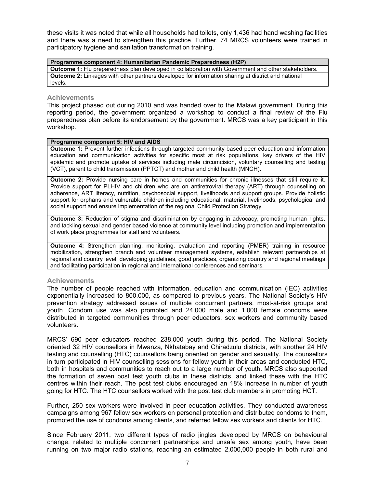these visits it was noted that while all households had toilets, only 1,436 had hand washing facilities and there was a need to strengthen this practice. Further, 74 MRCS volunteers were trained in participatory hygiene and sanitation transformation training.

#### **Programme component 4: Humanitarian Pandemic Preparedness (H2P) Outcome 1:** Flu preparedness plan developed in collaboration with Government and other stakeholders. **Outcome 2:** Linkages with other partners developed for information sharing at district and national

## **Achievements**

levels.

This project phased out during 2010 and was handed over to the Malawi government. During this reporting period, the government organized a workshop to conduct a final review of the Flu preparedness plan before its endorsement by the government. MRCS was a key participant in this workshop.

### **Programme component 5: HIV and AIDS**

**Outcome 1:** Prevent further infections through targeted community based peer education and information education and communication activities for specific most at risk populations, key drivers of the HIV epidemic and promote uptake of services including male circumcision, voluntary counselling and testing (VCT), parent to child transmission (PPTCT) and mother and child health (MNCH).

**Outcome 2:** Provide nursing care in homes and communities for chronic illnesses that still require it. Provide support for PLHIV and children who are on antiretroviral therapy (ART) through counselling on adherence, ART literacy, nutrition, psychosocial support, livelihoods and support groups. Provide holistic support for orphans and vulnerable children including educational, material, livelihoods, psychological and social support and ensure implementation of the regional Child Protection Strategy.

**Outcome 3:** Reduction of stigma and discrimination by engaging in advocacy, promoting human rights, and tackling sexual and gender based violence at community level including promotion and implementation of work place programmes for staff and volunteers.

**Outcome 4:** Strengthen planning, monitoring, evaluation and reporting (PMER) training in resource mobilization, strengthen branch and volunteer management systems, establish relevant partnerships at regional and country level, developing guidelines, good practices, organizing country and regional meetings and facilitating participation in regional and international conferences and seminars.

## **Achievements**

The number of people reached with information, education and communication (IEC) activities exponentially increased to 800,000, as compared to previous years. The National Society's HIV prevention strategy addressed issues of multiple concurrent partners, most-at-risk groups and youth. Condom use was also promoted and 24,000 male and 1,000 female condoms were distributed in targeted communities through peer educators, sex workers and community based volunteers.

MRCS' 690 peer educators reached 238,000 youth during this period. The National Society oriented 32 HIV counsellors in Mwanza, Nkhatabay and Chiradzulu districts, with another 24 HIV testing and counselling (HTC) counsellors being oriented on gender and sexuality. The counsellors in turn participated in HIV counselling sessions for fellow youth in their areas and conducted HTC, both in hospitals and communities to reach out to a large number of youth. MRCS also supported the formation of seven post test youth clubs in these districts, and linked these with the HTC centres within their reach. The post test clubs encouraged an 18% increase in number of youth going for HTC. The HTC counsellors worked with the post test club members in promoting HCT.

Further, 250 sex workers were involved in peer education activities. They conducted awareness campaigns among 967 fellow sex workers on personal protection and distributed condoms to them, promoted the use of condoms among clients, and referred fellow sex workers and clients for HTC.

Since February 2011, two different types of radio jingles developed by MRCS on behavioural change, related to multiple concurrent partnerships and unsafe sex among youth, have been running on two major radio stations, reaching an estimated 2,000,000 people in both rural and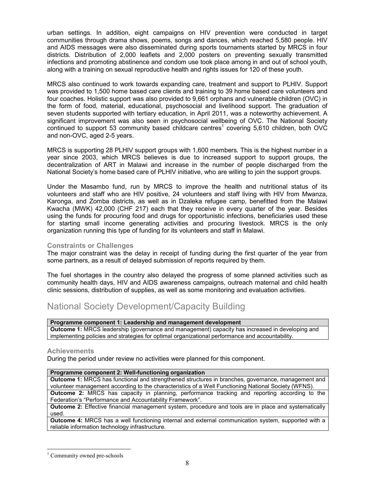urban settings. In addition, eight campaigns on HIV prevention were conducted in target communities through drama shows, poems, songs and dances, which reached 5,580 people. HIV and AIDS messages were also disseminated during sports tournaments started by MRCS in four districts. Distribution of 2,000 leaflets and 2,000 posters on preventing sexually transmitted infections and promoting abstinence and condom use took place among in and out of school youth, along with a training on sexual reproductive health and rights issues for 120 of these youth.

MRCS also continued to work towards expanding care, treatment and support to PLHIV. Support was provided to 1,500 home based care clients and training to 39 home based care volunteers and four coaches. Holistic support was also provided to 9,661 orphans and vulnerable children (OVC) in the form of food, material, educational, psychosocial and livelihood support. The graduation of seven students supported with tertiary education, in April 2011, was a noteworthy achievement. A significant improvement was also seen in psychosocial wellbeing of OVC. The National Society continued to support 53 community based childcare centres<sup>1</sup> covering 5,610 children, both OVC and non-OVC, aged 2-5 years.

MRCS is supporting 28 PLHIV support groups with 1,600 members. This is the highest number in a year since 2003, which MRCS believes is due to increased support to support groups, the decentralization of ART in Malawi and increase in the number of people discharged from the National Society's home based care of PLHIV initiative, who are willing to join the support groups.

Under the Masambo fund, run by MRCS to improve the health and nutritional status of its volunteers and staff who are HIV positive, 24 volunteers and staff living with HIV from Mwanza, Karonga, and Zomba districts, as well as in Dzaleka refugee camp, benefitted from the Malawi Kwacha (MWK) 42,000 (CHF 217) each that they receive in every quarter of the year. Besides using the funds for procuring food and drugs for opportunistic infections, beneficiaries used these for starting small income generating activities and procuring livestock. MRCS is the only organization running this type of funding for its volunteers and staff in Malawi.

## **Constraints or Challenges**

The major constraint was the delay in receipt of funding during the first quarter of the year from some partners, as a result of delayed submission of reports required by them.

The fuel shortages in the country also delayed the progress of some planned activities such as community health days, HIV and AIDS awareness campaigns, outreach maternal and child health clinic sessions, distribution of supplies, as well as some monitoring and evaluation activities.

## National Society Development/Capacity Building

## **Programme component 1: Leadership and management development**

**Outcome 1:** MRCS leadership (governance and management) capacity has increased in developing and implementing policies and strategies for optimal organizational performance and accountability.

## **Achievements**

During the period under review no activities were planned for this component.

#### **Programme component 2: Well-functioning organization**

**Outcome 1:** MRCS has functional and strengthened structures in branches, governance, management and volunteer management according to the characteristics of a Well Functioning National Society (WFNS).

**Outcome 2:** MRCS has capacity in planning, performance tracking and reporting according to the Federation's "Performance and Accountability Framework".

**Outcome 2:** Effective financial management system, procedure and tools are in place and systematically used.

**Outcome 4:** MRCS has a well functioning internal and external communication system, supported with a reliable information technology infrastructure.

 $\overline{a}$ <sup>1</sup> Community owned pre-schools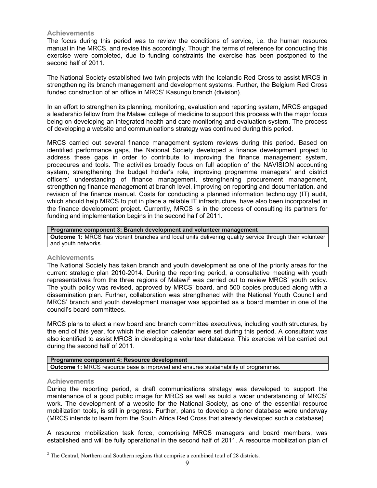## **Achievements**

The focus during this period was to review the conditions of service, i.e. the human resource manual in the MRCS, and revise this accordingly. Though the terms of reference for conducting this exercise were completed, due to funding constraints the exercise has been postponed to the second half of 2011.

The National Society established two twin projects with the Icelandic Red Cross to assist MRCS in strengthening its branch management and development systems. Further, the Belgium Red Cross funded construction of an office in MRCS' Kasungu branch (division).

In an effort to strengthen its planning, monitoring, evaluation and reporting system, MRCS engaged a leadership fellow from the Malawi college of medicine to support this process with the major focus being on developing an integrated health and care monitoring and evaluation system. The process of developing a website and communications strategy was continued during this period.

MRCS carried out several finance management system reviews during this period. Based on identified performance gaps, the National Society developed a finance development project to address these gaps in order to contribute to improving the finance management system, procedures and tools. The activities broadly focus on full adoption of the NAVISION accounting system, strengthening the budget holder's role, improving programme managers' and district officers' understanding of finance management, strengthening procurement management, strengthening finance management at branch level, improving on reporting and documentation, and revision of the finance manual. Costs for conducting a planned information technology (IT) audit, which should help MRCS to put in place a reliable IT infrastructure, have also been incorporated in the finance development project. Currently, MRCS is in the process of consulting its partners for funding and implementation begins in the second half of 2011.

**Programme component 3: Branch development and volunteer management Outcome 1:** MRCS has vibrant branches and local units delivering quality service through their volunteer and youth networks.

## **Achievements**

The National Society has taken branch and youth development as one of the priority areas for the current strategic plan 2010-2014. During the reporting period, a consultative meeting with youth representatives from the three regions of Malawi<sup>2</sup> was carried out to review MRCS' youth policy. The youth policy was revised, approved by MRCS' board, and 500 copies produced along with a dissemination plan. Further, collaboration was strengthened with the National Youth Council and MRCS' branch and youth development manager was appointed as a board member in one of the council's board committees.

MRCS plans to elect a new board and branch committee executives, including youth structures, by the end of this year, for which the election calendar were set during this period. A consultant was also identified to assist MRCS in developing a volunteer database. This exercise will be carried out during the second half of 2011.

## **Programme component 4: Resource development Outcome 1:** MRCS resource base is improved and ensures sustainability of programmes.

## **Achievements**

During the reporting period, a draft communications strategy was developed to support the maintenance of a good public image for MRCS as well as build a wider understanding of MRCS' work. The development of a website for the National Society, as one of the essential resource mobilization tools, is still in progress. Further, plans to develop a donor database were underway (MRCS intends to learn from the South Africa Red Cross that already developed such a database).

A resource mobilization task force, comprising MRCS managers and board members, was established and will be fully operational in the second half of 2011. A resource mobilization plan of

 $\overline{a}$  $2^2$  The Central, Northern and Southern regions that comprise a combined total of 28 districts.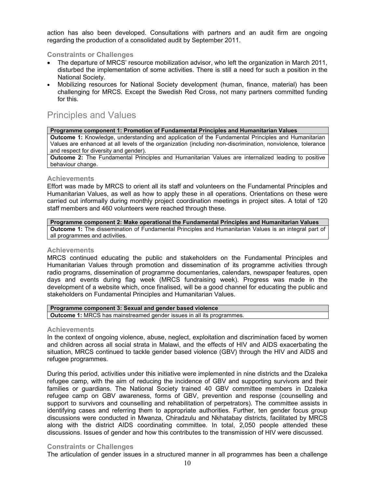action has also been developed. Consultations with partners and an audit firm are ongoing regarding the production of a consolidated audit by September 2011.

## **Constraints or Challenges**

- The departure of MRCS' resource mobilization advisor, who left the organization in March 2011, disturbed the implementation of some activities. There is still a need for such a position in the National Society.
- Mobilizing resources for National Society development (human, finance, material) has been challenging for MRCS. Except the Swedish Red Cross, not many partners committed funding for this.

## Principles and Values

**Programme component 1: Promotion of Fundamental Principles and Humanitarian Values**

**Outcome 1:** Knowledge, understanding and application of the Fundamental Principles and Humanitarian Values are enhanced at all levels of the organization (including non-discrimination, nonviolence, tolerance and respect for diversity and gender).

**Outcome 2:** The Fundamental Principles and Humanitarian Values are internalized leading to positive behaviour change.

## **Achievements**

Effort was made by MRCS to orient all its staff and volunteers on the Fundamental Principles and Humanitarian Values, as well as how to apply these in all operations. Orientations on these were carried out informally during monthly project coordination meetings in project sites. A total of 120 staff members and 460 volunteers were reached through these.

### **Programme component 2: Make operational the Fundamental Principles and Humanitarian Values**

**Outcome 1:** The dissemination of Fundamental Principles and Humanitarian Values is an integral part of all programmes and activities.

## **Achievements**

MRCS continued educating the public and stakeholders on the Fundamental Principles and Humanitarian Values through promotion and dissemination of its programme activities through radio programs, dissemination of programme documentaries, calendars, newspaper features, open days and events during flag week (MRCS fundraising week). Progress was made in the development of a website which, once finalised, will be a good channel for educating the public and stakeholders on Fundamental Principles and Humanitarian Values.

| Programme component 3: Sexual and gender based violence                      |
|------------------------------------------------------------------------------|
| <b>Outcome 1:</b> MRCS has mainstreamed gender issues in all its programmes. |

## **Achievements**

In the context of ongoing violence, abuse, neglect, exploitation and discrimination faced by women and children across all social strata in Malawi, and the effects of HIV and AIDS exacerbating the situation, MRCS continued to tackle gender based violence (GBV) through the HIV and AIDS and refugee programmes.

During this period, activities under this initiative were implemented in nine districts and the Dzaleka refugee camp, with the aim of reducing the incidence of GBV and supporting survivors and their families or guardians. The National Society trained 40 GBV committee members in Dzaleka refugee camp on GBV awareness, forms of GBV, prevention and response (counselling and support to survivors and counselling and rehabilitation of perpetrators). The committee assists in identifying cases and referring them to appropriate authorities. Further, ten gender focus group discussions were conducted in Mwanza, Chiradzulu and Nkhatabay districts, facilitated by MRCS along with the district AIDS coordinating committee. In total, 2,050 people attended these discussions. Issues of gender and how this contributes to the transmission of HIV were discussed.

## **Constraints or Challenges**

The articulation of gender issues in a structured manner in all programmes has been a challenge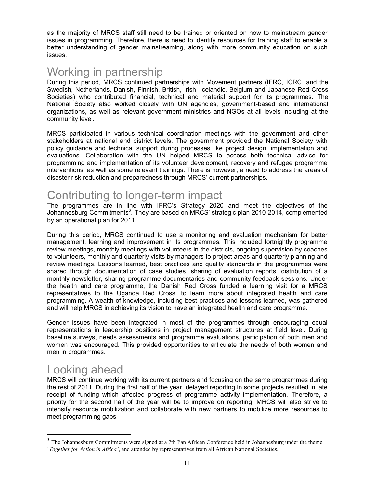as the majority of MRCS staff still need to be trained or oriented on how to mainstream gender issues in programming. Therefore, there is need to identify resources for training staff to enable a better understanding of gender mainstreaming, along with more community education on such issues.

# Working in partnership

During this period, MRCS continued partnerships with Movement partners (IFRC, ICRC, and the Swedish, Netherlands, Danish, Finnish, British, Irish, Icelandic, Belgium and Japanese Red Cross Societies) who contributed financial, technical and material support for its programmes. The National Society also worked closely with UN agencies, government-based and international organizations, as well as relevant government ministries and NGOs at all levels including at the community level.

MRCS participated in various technical coordination meetings with the government and other stakeholders at national and district levels. The government provided the National Society with policy guidance and technical support during processes like project design, implementation and evaluations. Collaboration with the UN helped MRCS to access both technical advice for programming and implementation of its volunteer development, recovery and refugee programme interventions, as well as some relevant trainings. There is however, a need to address the areas of disaster risk reduction and preparedness through MRCS' current partnerships.

# Contributing to longer-term impact

The programmes are in line with IFRC's Strategy 2020 and meet the objectives of the Johannesburg Commitments<sup>3</sup>. They are based on MRCS' strategic plan 2010-2014, complemented by an operational plan for 2011.

During this period, MRCS continued to use a monitoring and evaluation mechanism for better management, learning and improvement in its programmes. This included fortnightly programme review meetings, monthly meetings with volunteers in the districts, ongoing supervision by coaches to volunteers, monthly and quarterly visits by managers to project areas and quarterly planning and review meetings. Lessons learned, best practices and quality standards in the programmes were shared through documentation of case studies, sharing of evaluation reports, distribution of a monthly newsletter, sharing programme documentaries and community feedback sessions. Under the health and care programme, the Danish Red Cross funded a learning visit for a MRCS representatives to the Uganda Red Cross, to learn more about integrated health and care programming. A wealth of knowledge, including best practices and lessons learned, was gathered and will help MRCS in achieving its vision to have an integrated health and care programme.

Gender issues have been integrated in most of the programmes through encouraging equal representations in leadership positions in project management structures at field level. During baseline surveys, needs assessments and programme evaluations, participation of both men and women was encouraged. This provided opportunities to articulate the needs of both women and men in programmes.

# Looking ahead

 $\ddot{\phantom{a}}$ 

MRCS will continue working with its current partners and focusing on the same programmes during the rest of 2011. During the first half of the year, delayed reporting in some projects resulted in late receipt of funding which affected progress of programme activity implementation. Therefore, a priority for the second half of the year will be to improve on reporting. MRCS will also strive to intensify resource mobilization and collaborate with new partners to mobilize more resources to meet programming gaps.

<sup>&</sup>lt;sup>3</sup> The Johannesburg Commitments were signed at a 7th Pan African Conference held in Johannesburg under the theme '*Together for Action in Africa'*, and attended by representatives from all African National Societies.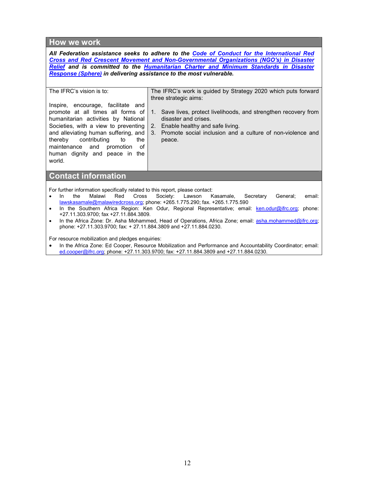## **How we work**

*All Federation assistance seeks to adhere to the Code of Conduct for the International Red [Cross and Red Crescent Movement and Non-Governmental Organizations \(NGO's\) in Disaster](http://www.ifrc.org/en/publications-and-reports/code-of-conduct/)  Relief and is committed to the [Humanitarian Charter and Minimum Standards in Disaster](http://www.sphereproject.org/)  [Response \(Sphere\) i](http://www.sphereproject.org/)n delivering assistance to the most vulnerable.* 

## The IFRC's vision is to:

Inspire, encourage, facilitate and promote at all times all forms of humanitarian activities by National Societies, with a view to preventing and alleviating human suffering, and thereby contributing to the maintenance and promotion of human dignity and peace in the The IFRC's work is guided by Strategy 2020 which puts forward three strategic aims:

- 1. Save lives, protect livelihoods, and strengthen recovery from disaster and crises.
- 2. Enable healthy and safe living.
- 3. Promote social inclusion and a culture of non-violence and peace.

**Contact information** 

world.

For further information specifically related to this report, please contact:

- In the Malawi Red Cross Society: Lawson Kasamale, Secretary General; email: lawskasamale@malawiredcross.org; phone: +265.1.775.290; fax. +265.1.775.590
- In the Southern Africa Region: Ken Odur, Regional Representative; email: ken.odur@ifrc.org; phone: +27.11.303.9700; fax +27.11.884.3809.
- In the Africa Zone: Dr. Asha Mohammed, Head of Operations, Africa Zone; email: asha.mohammed@ifrc.org; phone: +27.11.303.9700; fax: + 27.11.884.3809 and +27.11.884.0230.

For resource mobilization and pledges enquiries:

• In the Africa Zone: Ed Cooper, Resource Mobilization and Performance and Accountability Coordinator; email: ed.cooper@ifrc.org; phone: +27.11.303.9700; fax: +27.11.884.3809 and +27.11.884.0230.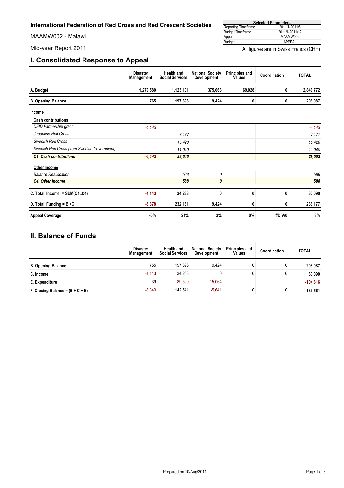<span id="page-12-0"></span>MAAMW002 - Malawi

## **I. Consolidated Response to Appeal**

| <b>Selected Parameters</b> |                |  |  |  |  |
|----------------------------|----------------|--|--|--|--|
| Reporting Timeframe        | 2011/1-2011/6  |  |  |  |  |
| <b>Budget Timeframe</b>    | 2011/1-2011/12 |  |  |  |  |
| Appeal                     | MAAMW002       |  |  |  |  |
| Budget                     | APPFAL         |  |  |  |  |

Mid-year Report 2011 **All figures are in Swiss Francs (CHF)** All figures are in Swiss Francs (CHF)

T

|                                             | <b>Disaster</b><br>Management | <b>Health and</b><br><b>Social Services</b> | <b>National Society</b><br><b>Development</b> | <b>Principles and</b><br><b>Values</b> | Coordination | <b>TOTAL</b> |
|---------------------------------------------|-------------------------------|---------------------------------------------|-----------------------------------------------|----------------------------------------|--------------|--------------|
| A. Budget                                   | 1,279,580                     | 1,123,101                                   | 375,063                                       | 69,028                                 | 0            | 2,846,772    |
| <b>B. Opening Balance</b>                   | 765                           | 197,898                                     | 9,424                                         | 0                                      | $\mathbf{0}$ | 208,087      |
| Income                                      |                               |                                             |                                               |                                        |              |              |
| <b>Cash contributions</b>                   |                               |                                             |                                               |                                        |              |              |
| DFID Partnership grant                      | $-4.143$                      |                                             |                                               |                                        |              | $-4,143$     |
| Japanese Red Cross                          |                               | 7,177                                       |                                               |                                        |              | 7,177        |
| Swedish Red Cross                           |                               | 15,428                                      |                                               |                                        |              | 15,428       |
| Swedish Red Cross (from Swedish Government) |                               | 11.040                                      |                                               |                                        |              | 11,040       |
| <b>C1. Cash contributions</b>               | $-4,143$                      | 33,646                                      |                                               |                                        |              | 29,503       |
| Other Income                                |                               |                                             |                                               |                                        |              |              |
| <b>Balance Reallocation</b>                 |                               | 588                                         | 0                                             |                                        |              | 588          |
| <b>C4. Other Income</b>                     |                               | 588                                         | 0                                             |                                        |              | 588          |
| C. Total Income = $SUM(C1.C4)$              | $-4,143$                      | 34,233                                      | 0                                             | 0                                      | 0            | 30,090       |
| D. Total Funding = $B + C$                  | $-3,378$                      | 232,131                                     | 9,424                                         | 0                                      | 0            | 238,177      |
| <b>Appeal Coverage</b>                      | $-0%$                         | 21%                                         | 3%                                            | 0%                                     | #DIV/0       | 8%           |

## **II. Balance of Funds**

|                                    | <b>Disaster</b><br>Management | <b>Health and</b><br><b>Social Services</b> | <b>National Society</b><br><b>Development</b> | <b>Principles and</b><br><b>Values</b> | Coordination | <b>TOTAL</b> |
|------------------------------------|-------------------------------|---------------------------------------------|-----------------------------------------------|----------------------------------------|--------------|--------------|
| <b>B. Opening Balance</b>          | 765                           | 197.898                                     | 9.424                                         |                                        |              | 208,087      |
| C. Income                          | $-4.143$                      | 34,233                                      |                                               |                                        | 0            | 30,090       |
| E. Expenditure                     | 39                            | $-89.590$                                   | $-15.064$                                     |                                        |              | $-104.616$   |
| F. Closing Balance = $(B + C + E)$ | $-3.340$                      | 142.541                                     | $-5.641$                                      |                                        | 0            | 133,561      |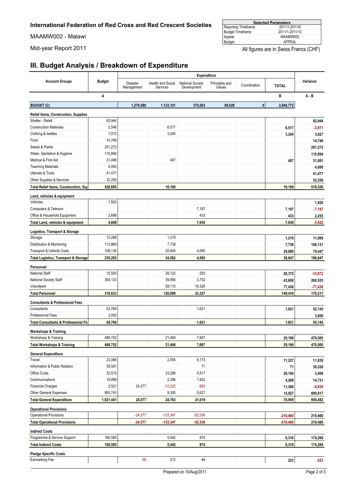MAAMW002 - Malawi

| <b>Selected Parameters</b> |                |  |  |  |  |
|----------------------------|----------------|--|--|--|--|
| Reporting Timeframe        | 2011/1-2011/6  |  |  |  |  |
| Budget Timeframe           | 2011/1-2011/12 |  |  |  |  |
| Appeal                     | MAAMW002       |  |  |  |  |
| Budget                     | APPFAL         |  |  |  |  |

Mid-year Report 2011 **All figures are in Swiss Francs (CHF)** All figures are in Swiss Francs (CHF)

## **III. Budget Analysis / Breakdown of Expenditure**

|                                                 |               | Expenditure            |                               |                                        |                          |              |              |           |
|-------------------------------------------------|---------------|------------------------|-------------------------------|----------------------------------------|--------------------------|--------------|--------------|-----------|
| <b>Account Groups</b>                           | <b>Budget</b> | Disaster<br>Management | Health and Social<br>Services | <b>National Society</b><br>Development | Principles and<br>Values | Coordination | <b>TOTAL</b> | Variance  |
|                                                 | A             |                        |                               |                                        |                          |              | B            | $A - B$   |
| <b>BUDGET (C)</b>                               |               | 1,279,580              | 1,123,101                     | 375,063                                | 69,028                   | $\mathbf 0$  | 2,846,772    |           |
| Relief items, Construction, Supplies            |               |                        |                               |                                        |                          |              |              |           |
| Shelter - Relief                                | 82,944        |                        |                               |                                        |                          |              |              | 82,944    |
| <b>Construction Materials</b>                   | 2,546         |                        | 6,517                         |                                        |                          |              | 6,517        | $-3,971$  |
| Clothing & textiles                             | 7,072         |                        | 3,245                         |                                        |                          |              | 3,245        | 3,827     |
| Food                                            | 14,746        |                        |                               |                                        |                          |              |              | 14,746    |
| Seeds & Plants                                  | 201,272       |                        |                               |                                        |                          |              |              | 201,272   |
| Water, Sanitation & Hygiene                     | 110,894       |                        |                               |                                        |                          |              |              | 110,894   |
| Medical & First Aid                             | 31,488        |                        | 407                           |                                        |                          |              | 407          | 31,081    |
| <b>Teaching Materials</b>                       | 4,000         |                        |                               |                                        |                          |              |              | 4,000     |
| Utensils & Tools                                | 41,477        |                        |                               |                                        |                          |              |              | 41,477    |
| Other Supplies & Services                       | 32,256        |                        |                               |                                        |                          |              |              | 32,256    |
| Total Relief items, Construction, Sup           | 528,695       |                        | 10,169                        |                                        |                          |              | 10,169       | 518,526   |
| Land, vehicles & equipment                      |               |                        |                               |                                        |                          |              |              |           |
| Vehicles                                        | 1,920         |                        |                               |                                        |                          |              |              | 1,920     |
| Computers & Telecom                             |               |                        |                               | 7,197                                  |                          |              | 7,197        | $-7,197$  |
| Office & Household Equipment                    | 2,688         |                        |                               | 433                                    |                          |              | 433          | 2,255     |
| Total Land, vehicles & equipment                | 4,608         |                        |                               | 7,630                                  |                          |              | 7,630        | $-3,022$  |
| Logistics, Transport & Storage                  |               |                        |                               |                                        |                          |              |              |           |
| Storage                                         | 12,288        |                        | 1,219                         |                                        |                          |              | 1,219        | 11,069    |
| Distribution & Monitoring                       | 113,869       |                        | 7,738                         |                                        |                          |              | 7,738        | 106,131   |
| Transport & Vehicle Costs                       | 109,136       |                        | 25,604                        | 4,085                                  |                          |              | 29,689       | 79,447    |
| <b>Total Logistics, Transport &amp; Storage</b> | 235,293       |                        | 34,562                        | 4,085                                  |                          |              | 38,647       | 196,647   |
| Personnel                                       |               |                        |                               |                                        |                          |              |              |           |
| National Staff                                  | 15,500        |                        | 28,122                        | 250                                    |                          |              | 28,372       | $-12,872$ |
| National Society Staff                          | 304,133       |                        | 39,856                        | 3,752                                  |                          |              | 43,608       | 260,525   |
| Volunteers                                      |               |                        | 58,110                        | 19,326                                 |                          |              | 77,436       | $-77,436$ |
| <b>Total Personnel</b>                          | 319,633       |                        | 126,089                       | 23,327                                 |                          |              | 149,416      | 170,217   |
| <b>Consultants &amp; Professional Fees</b>      |               |                        |                               |                                        |                          |              |              |           |
| Consultants                                     | 53,766        |                        |                               | 1,621                                  |                          |              | 1,621        | 52,145    |
| <b>Professional Fees</b>                        | 3,000         |                        |                               |                                        |                          |              |              | 3,000     |
| <b>Total Consultants &amp; Professional Fe</b>  | 56,766        |                        |                               | 1,621                                  |                          |              | 1,621        | 55,145    |
| <b>Workshops &amp; Training</b>                 |               |                        |                               |                                        |                          |              |              |           |
| Workshops & Training                            | 499,752       |                        | 21,490                        | 7,697                                  |                          |              | 29,186       | 470,565   |
| <b>Total Workshops &amp; Training</b>           | 499,752       |                        | 21,490                        | 7,697                                  |                          |              | 29,186       | 470,565   |
| <b>General Expenditure</b>                      |               |                        |                               |                                        |                          |              |              |           |
| Travel                                          | 23,066        |                        | 2,054                         | 9,173                                  |                          |              | 11,227       | 11,839    |
| Information & Public Relation                   | 38,597        |                        |                               | 71                                     |                          |              | 71           | 38,526    |
| Office Costs                                    | 32,515        |                        | 23,289                        | 5,817                                  |                          |              | 29,106       | 3,409     |
| Communications                                  | 18,999        |                        | 2,346                         | 1,922                                  |                          |              | 4,268        | 14,731    |
| <b>Financial Charges</b>                        | 2,521         | 24,577                 | $-12,225$                     | $-992$                                 |                          |              | 11,360       | $-8,839$  |
| Other General Expenses                          | 905,743       |                        | 9,300                         | 5,627                                  |                          |              | 14,927       | 890,817   |
| <b>Total General Expenditure</b>                | 1,021,441     | 24,577                 | 24,763                        | 21,619                                 |                          |              | 70,959       | 950,482   |
| <b>Operational Provisions</b>                   |               |                        |                               |                                        |                          |              |              |           |
| Operational Provisions                          |               | $-24,577$              | $-133,347$                    | $-52,536$                              |                          |              | $-210,460$   | 210,460   |
| <b>Total Operational Provisions</b>             |               | $-24,577$              | $-133,347$                    | $-52,536$                              |                          |              | $-210,460$   | 210,460   |
| <b>Indirect Costs</b>                           |               |                        |                               |                                        |                          |              |              |           |
| Programme & Service Support                     | 180,585       |                        | 5,442                         | 874                                    |                          |              | 6,316        | 174,269   |
| <b>Total Indirect Costs</b>                     | 180,585       |                        | 5,442                         | 874                                    |                          |              | 6,316        | 174,269   |
| <b>Pledge Specific Costs</b>                    |               |                        |                               |                                        |                          |              |              |           |
| Earmarking Fee                                  |               | $-39$                  | 212                           | 49                                     |                          |              | 223          | $-223$    |
|                                                 |               |                        |                               |                                        |                          |              |              |           |